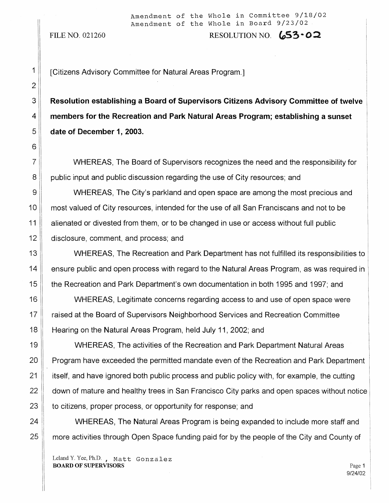FILE NO. 021260 RESOLUTION NO.  $653.02$ 

1 | [Citizens Advisory Committee for Natural Areas Program.]

3<sup>|</sup> Resolution establishing a Board of Supervisors Citizens Advisory Committee of twelve 4 **members for the Recreation and Park Natural Areas Program; establishing a sunset** 5 **date of December 1, 2003.**

7 WHEREAS, The Board of Supervisors recognizes the need and the responsibility for 8 public input and public discussion regarding the use of City resources; and

9 WHEREAS, The City's parkland and open space are among the most precious and 10 most valued of City resources, intended for the use of all San Franciscans and not to be 11 alienated or divested from them, or to be changed in use or access without full public 12 disclosure, comment, and process; and

13 WHEREAS, The Recreation and Park Department has not fulfilled its responsibilities to 14 ensure public and open process with regard to the Natural Areas Program, as was required in 15 the Recreation and Park Department's own documentation in both 1995 and 1997; and

16 WHEREAS, Legitimate concerns regarding access to and use of open space were 17 | raised at the Board of Supervisors Neighborhood Services and Recreation Committee 18 **Hearing on the Natural Areas Program, held July 11, 2002; and** 

19 || WHEREAS, The activities of the Recreation and Park Department Natural Areas 20 **Program have exceeded the permitted mandate even of the Recreation and Park Department** 21 isself, and have ignored both public process and public policy with, for example, the cutting 22 down of mature and healthy trees in San Francisco City parks and open spaces without notice 23 to citizens, proper process, or opportunity for response; and

24 WHEREAS, The Natural Areas Program is being expanded to include more staff and 25 **more activities through Open Space funding paid for by the people of the City and County of** 

Leland Y. Yee, Ph.D., Matt Gonzalez **BOARD OF SUPERVISORS** Page 1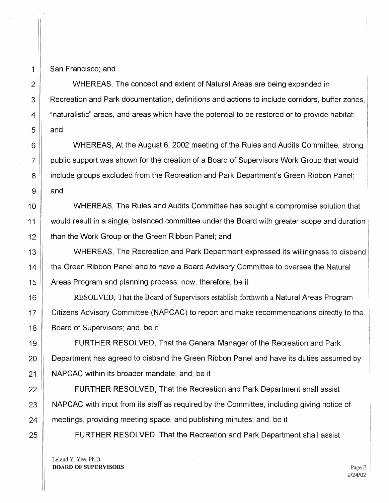1 San Francisco; and

2 WHEREAS, The concept and extent of Natural Areas are being expanded in 3 **Recreation and Park documentation, definitions and actions to include corridors, buffer zones,** 4  $\parallel$  "naturalistic" areas, and areas which have the potential to be restored or to provide habitat;  $5$  and

6 WHEREAS, At the August 6, 2002 meeting of the Rules and Audits Committee, strong 7 public support was shown for the creation of a Board of Supervisors Work Group that would 8 include groups excluded from the Recreation and Park Department's Green Ribbon Panel;  $9 \parallel$  and

10 WHEREAS, The Rules and Audits Committee has sought a compromise solution that 11 would result in a single, balanced committee under the Board with greater scope and duration 12 **than the Work Group or the Green Ribbon Panel; and** 

13 WHEREAS, The Recreation and Park Department expressed its willingness to disband 14 **the Green Ribbon Panel and to have a Board Advisory Committee to oversee the Natural** 15 | Areas Program and planning process; now, therefore, be it

16 RESOLVED, That the Board of Supervisors establish forthwith a Natural Areas Program 17 **Citizens Advisory Committee (NAPCAC)** to report and make recommendations directly to the 18 **Board of Supervisors; and, be it** 

19 **FURTHER RESOLVED, That the General Manager of the Recreation and Park** 20  $\parallel$  Department has agreed to disband the Green Ribbon Panel and have its duties assumed by 21 | NAPCAC within its broader mandate; and, be it

22 **FURTHER RESOLVED, That the Recreation and Park Department shall assist** 23 NAPCAC with input from its staff as required by the Committee, including giving notice of 24 meetings, providing meeting space, and publishing minutes; and, be it

25 | FURTHER RESOLVED, That the Recreation and Park Department shall assist

Leland Y. Yee, Ph.D. **BOARD OF SUPERVISORS** Page 2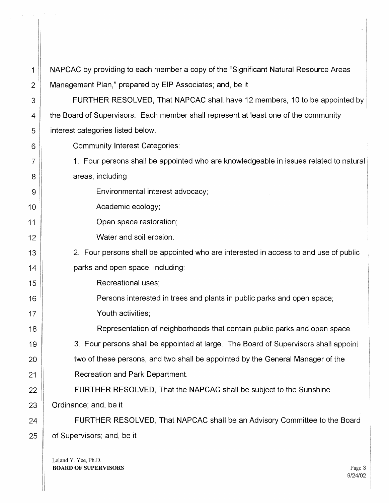| 1              | NAPCAC by providing to each member a copy of the "Significant Natural Resource Areas  |
|----------------|---------------------------------------------------------------------------------------|
| $\overline{2}$ | Management Plan," prepared by EIP Associates; and, be it                              |
| 3              | FURTHER RESOLVED, That NAPCAC shall have 12 members, 10 to be appointed by            |
| 4              | the Board of Supervisors. Each member shall represent at least one of the community   |
| 5              | interest categories listed below.                                                     |
| 6              | <b>Community Interest Categories:</b>                                                 |
| 7              | 1. Four persons shall be appointed who are knowledgeable in issues related to natural |
| 8              | areas, including                                                                      |
| 9              | Environmental interest advocacy;                                                      |
| 10             | Academic ecology;                                                                     |
| 11             | Open space restoration;                                                               |
| 12             | Water and soil erosion.                                                               |
| 13             | 2. Four persons shall be appointed who are interested in access to and use of public  |
| 14             | parks and open space, including:                                                      |
| 15             | Recreational uses;                                                                    |
| 16             | Persons interested in trees and plants in public parks and open space;                |
| 17             | Youth activities;                                                                     |
| 18             | Representation of neighborhoods that contain public parks and open space.             |
| 19             | 3. Four persons shall be appointed at large. The Board of Supervisors shall appoint   |
| 20             | two of these persons, and two shall be appointed by the General Manager of the        |
| 21             | Recreation and Park Department.                                                       |
| 22             | FURTHER RESOLVED, That the NAPCAC shall be subject to the Sunshine                    |
| 23             | Ordinance; and, be it                                                                 |
| 24             | FURTHER RESOLVED, That NAPCAC shall be an Advisory Committee to the Board             |
| 25             | of Supervisors; and, be it                                                            |
|                | Leland Y Yee Ph D                                                                     |
|                |                                                                                       |

Leland  $I$ .  $I$ ee,  $I$ . **BOARD OF SUPERVISORS** Page 3

 $\begin{array}{c} \hline \end{array}$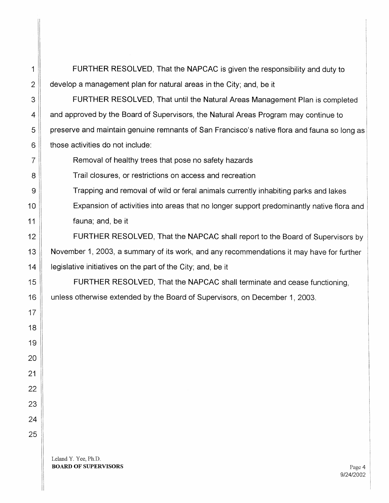1 FURTHER RESOLVED, That the NAPCAC is given the responsibility and duty to  $2 \parallel$  develop a management plan for natural areas in the City; and, be it

3 FURTHER RESOLVED, That until the Natural Areas Management Plan is completed 4 and approved by the Board of Supervisors, the Natural Areas Program may continue to 5 preserve and maintain genuine remnants of San Francisco's native flora and fauna so long as  $6$  | those activities do not include:

7 **Removal of healthy trees that pose no safety hazards** 

8 Trail closures, or restrictions on access and recreation

9 Trapping and removal of wild or feral animals currently inhabiting parks and lakes

10 Expansion of activities into areas that no longer support predominantly native flora and 11 **fauna**; and, be it

12 **FURTHER RESOLVED, That the NAPCAC shall report to the Board of Supervisors by** 13 November 1, 2003, a summary of its work, and any recommendations it may have for further 14  $\parallel$  legislative initiatives on the part of the City; and, be it

15 **FURTHER RESOLVED, That the NAPCAC shall terminate and cease functioning,** 16 | unless otherwise extended by the Board of Supervisors, on December 1, 2003.

Leland Y. Yee, Ph.D.

17

18

19

20

21

22

23

24

25

**BOARD OF SUPERVISORS** Page 4 9/24/2002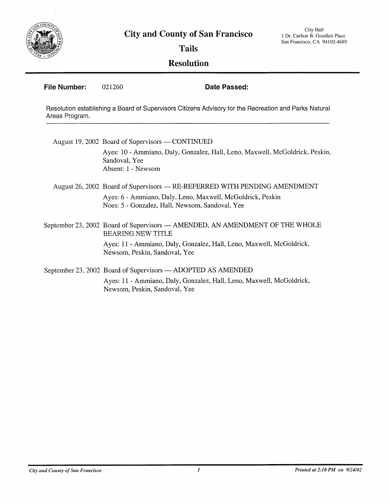

**Tails**

## **Resolution**

**File Number:** 021260 **Date Passed:**

Resolution establishing a Board of Supervisors Citizens Advisory for the Recreation and Parks Natural Areas Program.

August 19, 2002 Board of Supervisors  $-$  CONTINUED Ayes: 10 - Ammiano, Daly, Gonzalez, Hall, Leno, Maxwell, McGoldrick, Peskin, Sandoval, Yee Absent: 1 - Newsom

## August 26, 2002 Board of Supervisors - RE-REFERRED WITH PENDING AMENDMENT

Ayes: 6 - Ammiano, Daly, Leno, Maxwell, McGoldrick, Peskin Noes: 5 - Gonzalez, Hall, Newsom, Sandoval, Yee

September 23, 2002 Board of Supervisors - AMENDED, AN AMENDMENT OF THE WHOLE BEARING NEW TITLE

> Ayes: 11 - Ammiano, Daly, Gonzalez, Hall, Leno, Maxwell, McGoldrick, Newsom, Peskin, Sandoval, Yee

September 23, 2002 Board of Supervisors — ADOPTED AS AMENDED

Ayes: 11 - Ammiano, Daly, Gonzalez, Hall, Leno, Maxwell, McGoldrick, Newsom, Peskin, Sandoval, Yee